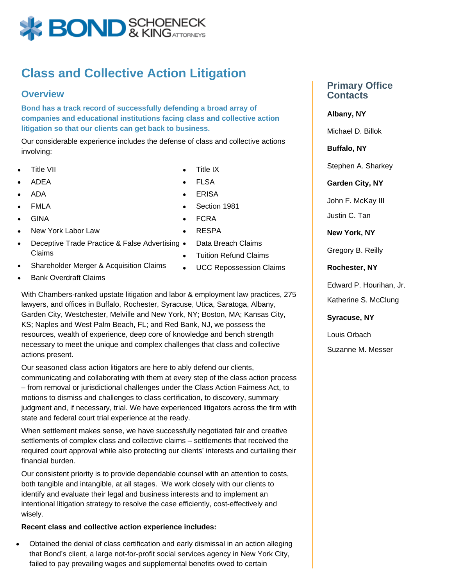

## **Class and Collective Action Litigation**

## **Overview**

**Bond has a track record of successfully defending a broad array of companies and educational institutions facing class and collective action litigation so that our clients can get back to business.**

Our considerable experience includes the defense of class and collective actions involving:

- Title VII
- ADEA
- ADA
- FMLA
- GINA
- New York Labor Law
- Deceptive Trade Practice & False Advertising Claims
- Shareholder Merger & Acquisition Claims
- Bank Overdraft Claims

With Chambers-ranked upstate litigation and labor & employment law practices, 275 lawyers, and offices in Buffalo, Rochester, Syracuse, Utica, Saratoga, Albany, Garden City, Westchester, Melville and New York, NY; Boston, MA; Kansas City, KS; Naples and West Palm Beach, FL; and Red Bank, NJ, we possess the resources, wealth of experience, deep core of knowledge and bench strength necessary to meet the unique and complex challenges that class and collective actions present.

Our seasoned class action litigators are here to ably defend our clients, communicating and collaborating with them at every step of the class action process – from removal or jurisdictional challenges under the Class Action Fairness Act, to motions to dismiss and challenges to class certification, to discovery, summary judgment and, if necessary, trial. We have experienced litigators across the firm with state and federal court trial experience at the ready.

When settlement makes sense, we have successfully negotiated fair and creative settlements of complex class and collective claims – settlements that received the required court approval while also protecting our clients' interests and curtailing their financial burden.

Our consistent priority is to provide dependable counsel with an attention to costs, both tangible and intangible, at all stages. We work closely with our clients to identify and evaluate their legal and business interests and to implement an intentional litigation strategy to resolve the case efficiently, cost-effectively and wisely.

## **Recent class and collective action experience includes:**

Obtained the denial of class certification and early dismissal in an action alleging  $\bullet$ that Bond's client, a large not-for-profit social services agency in New York City, failed to pay prevailing wages and supplemental benefits owed to certain

- Title IX
- FLSA
- ERISA
- Section 1981
- FCRA
- RESPA
- Data Breach Claims
- Tuition Refund Claims
- UCC Repossession Claims

**Primary Office Contacts**

**Albany, NY**

Michael D. Billok

**Buffalo, NY**

Stephen A. Sharkey

**Garden City, NY**

John F. McKay III

Justin C. Tan

**New York, NY**

Gregory B. Reilly

**Rochester, NY**

Edward P. Hourihan, Jr.

Katherine S. McClung

**Syracuse, NY**

Louis Orbach

Suzanne M. Messer